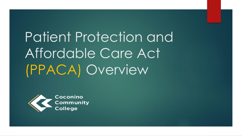Patient Protection and Affordable Care Act (PPACA) Overview

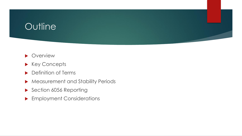# **Outline**



- Key Concepts
- ▶ Definition of Terms
- Measurement and Stability Periods
- Section 6056 Reporting
- **Employment Considerations**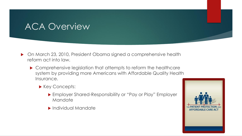# ACA Overview

- On March 23, 2010, President Obama signed a comprehensive health reform act into law.
	- Comprehensive legislation that attempts to reform the healthcare system by providing more Americans with Affordable Quality Health Insurance.
		- Key Concepts:
			- Employer Shared-Responsibility or "Pay or Play" Employer Mandate
			- Individual Mandate

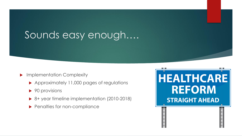# Sounds easy enough….

- **Implementation Complexity** 
	- Approximately 11,000 pages of regulations
	- ▶ 90 provisions
	- ▶ 8+ year timeline implementation (2010-2018)
	- **Penalties for non-compliance**

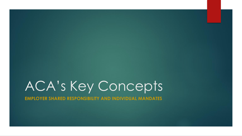# ACA's Key Concepts

**EMPLOYER SHARED RESPONSIBILITY AND INDIVIDUAL MANDATES**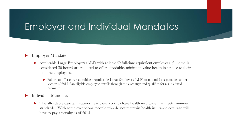## Employer and Individual Mandates

#### Employer Mandate:

- Applicable Large Employers (ALE) with at least 50 full-time equivalent employees (full-time is considered 30 hours) are required to offer affordable, minimum value health insurance to their full-time employees.
	- Failure to offer coverage subjects Applicable Large Employers (ALE) to potential tax penalties under section 4980H if an eligible employee enrolls through the exchange and qualifies for a subsidized premium.

#### Individual Mandate:

• The affordable care act requires nearly everyone to have health insurance that meets minimum standards. With some exceptions, people who do not maintain health insurance coverage will have to pay a penalty as of 2014.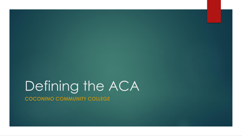# Defining the ACA **COCONINO COMMUNITY COLLEGE**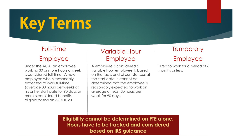# **Key Terms**

## Full-Time Employee

Under the ACA, an employee working 30 or more hours a week is considered full-time. A new employee who is reasonably expected to work full-time (average 30 hours per week) at his or her start date for 90 days or more is considered benefits eligible based on ACA rules.

### Variable Hour Employee

A employee is considered a variable hour employee if, based on the facts and circumstances at the start date, it cannot be determined that the employee is reasonably expected to work on average at least 30 hours per week for 90 days.

## **Temporary**

## Employee

Hired to work for a period of 6 months or less.

**Eligibility cannot be determined on FTE alone. Hours have to be tracked and considered based on IRS guidance**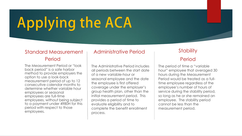# **Applying the ACA**

#### Standard Measurement Period

The Measurement Period or "look back period" is a safe harbor method to provide employers the option to use a look-back measurement period of up to 12 consecutive calendar months to determine whether variable hour employees or seasonal employees are full-time employees, without being subject to a payment under 4980H for this period with respect to those employees.

#### Administrative Period

The Administrative Period includes all periods between the start date of a new variable-hour or seasonal employee and the date the employee is first offered coverage under the employer's group health plan, other than the initial measurement period. This provides a period of time to evaluate eligibility and to complete the benefit enrollment process.

## **Stability**

#### Period

The period of time a "variable hour" employee that averaged 30 hours during the Measurement Period would be treated as a fulltime employee regardless of the employee's number of hours of service during the stability period, so long as he or she remained an employee. The stability period cannot be less than the measurement period.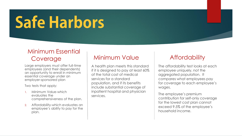# **Safe Harbors**

### Minimum Essential Coverage

Large employers must offer full-time employees (and their dependents) an opportunity to enroll in minimum essential coverage under an employer-sponsored plan

Two tests that apply:

- 1. Minimum Value-which evaluates the comprehensiveness of the plan.
- 2. Affordability-which evaluates an employee's ability to pay for the plan.

#### Minimum Value

A health plan meets this standard if it is designed to pay at least 60% of the total cost of medical services for a standard population, and if its benefits include substantial coverage of inpatient hospital and physician services.

## **Affordability**

The affordability test looks at each employee uniquely, not the aggregated population. It compares what employees pay for coverage to each employee's wages.

The employee's premium contribution for self-only coverage for the lowest cost plan cannot exceed 9.5% of the employee's household income.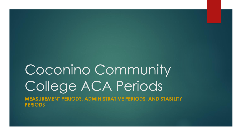# Coconino Community College ACA Periods **MEASUREMENT PERIODS, ADMINISTRATIVE PERIODS, AND STABILITY PERIODS**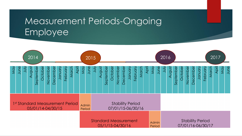# Measurement Periods-Ongoing Employee

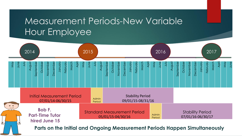# Measurement Periods-New Variable Hour Employee

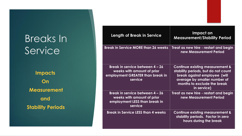# Breaks In **Service**

**Impacts On Measurement and Stability Periods**

| <b>Length of Break in Service</b>                                                                            | Impact on<br><b>Measurement/Stability Period</b>                                                                                                                                     |
|--------------------------------------------------------------------------------------------------------------|--------------------------------------------------------------------------------------------------------------------------------------------------------------------------------------|
| <b>Break in Service MORE than 26 weeks</b>                                                                   | Treat as new hire - restart and begin<br>new Measurement Period                                                                                                                      |
| Break in service between 4 - 26<br>weeks with amount of prior<br>employment GREATER than break in<br>service | Continue existing measurement &<br>stability periods, but do not count<br>break against employee (will<br>average by smaller number of<br>months to exclude the break<br>in service) |
| Break in service between 4 - 26<br>weeks with amount of prior<br>employment LESS than break in<br>service    | Treat as new hire - restart and begin<br>new Measurement Period                                                                                                                      |
| <b>Break in Service LESS than 4 weeks</b>                                                                    | <b>Continue existing measurement &amp;</b><br>stability periods. Factor in zero<br>hours during the break                                                                            |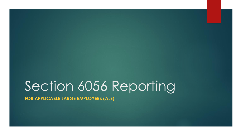# Section 6056 Reporting

**FOR APPLICABLE LARGE EMPLOYERS (ALE)**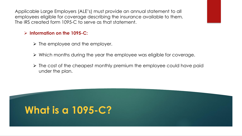Applicable Large Employers (ALE's) must provide an annual statement to all employees eligible for coverage describing the insurance available to them. The IRS created form 1095-C to serve as that statement.

#### **Information on the 1095-C:**

- $\triangleright$  The employee and the employer.
- $\triangleright$  Which months during the year the employee was eligible for coverage.
- $\triangleright$  The cost of the cheapest monthly premium the employee could have paid under the plan.

# **What is a 1095-C?**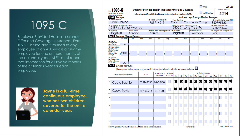# 1095-C

Employer-Provided Health Insurance Offer and Coverage Insurance. Form 1095-C is filed and furnished to any employee of an ALE who is a full-time employee for one or more months of the calendar year. ALE's must report that information for all twelve months of the calendar year for each employee.



**Jayne is a full-time continuous employee, who has two children covered for the entire calendar year.** 

|                                                                                       |                                   |                                    |           |                                                                                                                                                       |                                                                                                                  |                              |                                                                        |     |                                             |                                 |     |                        | <b>VOID</b>                                        |            |                             |     | OMB No. 1545-2251                      | 600115 |
|---------------------------------------------------------------------------------------|-----------------------------------|------------------------------------|-----------|-------------------------------------------------------------------------------------------------------------------------------------------------------|------------------------------------------------------------------------------------------------------------------|------------------------------|------------------------------------------------------------------------|-----|---------------------------------------------|---------------------------------|-----|------------------------|----------------------------------------------------|------------|-----------------------------|-----|----------------------------------------|--------|
| I 095-C<br>Department of the Treasury                                                 |                                   |                                    |           | <b>Employer-Provided Health Insurance Offer and Coverage</b><br>Information about Form 1095-C and its separate instructions is at www.irs.gov/f1095c. |                                                                                                                  |                              |                                                                        |     |                                             | <b>CORRECTED</b>                |     |                        |                                                    | 2014       |                             |     |                                        |        |
| Internal Revenue Service<br><b>Part Employee</b>                                      |                                   |                                    |           |                                                                                                                                                       |                                                                                                                  |                              |                                                                        |     | Applicable Large Employer Member (Employer) |                                 |     |                        |                                                    |            |                             |     |                                        |        |
| 1 Name of employee                                                                    |                                   |                                    |           |                                                                                                                                                       | 2 Social security number (SSN)                                                                                   |                              | 7 Name of employer                                                     |     |                                             |                                 |     |                        |                                                    |            |                             |     | 8 Employer identification number (EIN) |        |
| Cook, Jayne                                                                           |                                   |                                    |           |                                                                                                                                                       | 765914213                                                                                                        |                              | Coconino Community College                                             |     |                                             |                                 |     |                        |                                                    |            | 860795123                   |     |                                        |        |
| 3 Street address (including apartment no.)                                            |                                   | 2487 N. Butler Avenue              |           |                                                                                                                                                       |                                                                                                                  |                              | 9 Street address (including room or suite no.)<br>2800 S. Lone Tree Rd |     |                                             |                                 |     |                        |                                                    |            | 10 Contact telephone number |     |                                        |        |
| 4 City or town                                                                        |                                   | 5 State or province                |           |                                                                                                                                                       |                                                                                                                  |                              |                                                                        |     |                                             |                                 |     |                        |                                                    |            | 928)2264252                 |     |                                        |        |
| Flagstaff<br>Arizona                                                                  |                                   |                                    |           | 6 Country and ZIP or foreign postal code   11 City or town<br>86004                                                                                   |                                                                                                                  |                              | Flagstaff                                                              |     |                                             | 12 State or province<br>Arizona |     |                        | 13 Country and ZIP or foreign postal code<br>86005 |            |                             |     |                                        |        |
| Part II                                                                               |                                   | <b>Employee Offer and Coverage</b> |           |                                                                                                                                                       |                                                                                                                  |                              |                                                                        |     |                                             |                                 |     |                        |                                                    |            |                             |     |                                        |        |
|                                                                                       | All 12 Months                     | Jan                                | Feb       | Mar                                                                                                                                                   | Apr                                                                                                              | May                          | June                                                                   |     | July                                        |                                 | Aug | Sept                   |                                                    | Oct        |                             | Nov |                                        | Dec    |
| 14 Offer of<br>Coverage (enter                                                        |                                   |                                    |           |                                                                                                                                                       |                                                                                                                  |                              |                                                                        |     |                                             |                                 |     |                        |                                                    |            |                             |     |                                        |        |
| required code)                                                                        | 1 <sup>C</sup>                    |                                    |           |                                                                                                                                                       |                                                                                                                  |                              |                                                                        |     |                                             |                                 |     |                        |                                                    |            |                             |     |                                        |        |
| 15 Employee Share<br>of Lowest Cost                                                   |                                   |                                    |           |                                                                                                                                                       |                                                                                                                  |                              |                                                                        |     |                                             |                                 |     |                        |                                                    |            |                             |     |                                        |        |
| Monthly Premium,<br>for Self-Only                                                     |                                   |                                    |           |                                                                                                                                                       |                                                                                                                  |                              |                                                                        |     |                                             |                                 |     |                        |                                                    |            |                             |     |                                        |        |
| Minimum Value<br>Coverage                                                             | $\binom{20.00}{9}$                | \$                                 | \$        | \$                                                                                                                                                    | \$                                                                                                               | ß.                           | '\$                                                                    | \$  |                                             | \$                              |     | \$                     | \$                                                 |            | \$                          |     | \$                                     |        |
| 16 Applicable                                                                         |                                   |                                    |           |                                                                                                                                                       |                                                                                                                  |                              |                                                                        |     |                                             |                                 |     |                        |                                                    |            |                             |     |                                        |        |
| Section 4980H Safe                                                                    |                                   |                                    |           |                                                                                                                                                       |                                                                                                                  |                              |                                                                        |     |                                             |                                 |     |                        |                                                    |            |                             |     |                                        |        |
|                                                                                       |                                   |                                    |           |                                                                                                                                                       |                                                                                                                  |                              |                                                                        |     |                                             |                                 |     |                        |                                                    |            |                             |     |                                        |        |
|                                                                                       | 2C                                |                                    |           |                                                                                                                                                       |                                                                                                                  |                              |                                                                        |     |                                             |                                 |     |                        |                                                    |            |                             |     |                                        |        |
|                                                                                       | <b>Covered Individuals</b>        |                                    |           |                                                                                                                                                       |                                                                                                                  |                              |                                                                        |     |                                             |                                 |     |                        |                                                    |            |                             |     |                                        |        |
|                                                                                       |                                   |                                    |           |                                                                                                                                                       | If Employer provided self-insured coverage, check the box and enter the information for each covered individual. |                              |                                                                        |     |                                             |                                 |     | (e) Months of Coverage |                                                    |            |                             |     |                                        |        |
|                                                                                       | (a) Name of covered individual(s) |                                    |           | (b) SSN                                                                                                                                               | (c) DOB (If SSN is<br>not available)                                                                             | (d) Covered<br>all 12 months | Jan                                                                    | Feb | Mar                                         | Apr                             | May | June                   | July                                               | Aug        | Sept                        | Oct | Nov                                    |        |
|                                                                                       |                                   |                                    |           |                                                                                                                                                       |                                                                                                                  |                              |                                                                        |     |                                             |                                 |     |                        |                                                    |            |                             |     |                                        |        |
|                                                                                       |                                   |                                    | 555142135 |                                                                                                                                                       | 04/28/00                                                                                                         |                              |                                                                        |     |                                             |                                 |     |                        |                                                    | <b>SIN</b> |                             |     |                                        |        |
|                                                                                       | Cook, Sophie                      |                                    |           |                                                                                                                                                       |                                                                                                                  |                              |                                                                        |     |                                             |                                 |     |                        |                                                    |            |                             |     |                                        |        |
|                                                                                       |                                   |                                    |           |                                                                                                                                                       |                                                                                                                  |                              |                                                                        |     |                                             |                                 |     |                        |                                                    |            |                             |     |                                        |        |
|                                                                                       | Cook, Taylor                      |                                    | 867530914 |                                                                                                                                                       | 01/23/03                                                                                                         |                              | $\mathbf{A}$                                                           |     |                                             |                                 |     |                        |                                                    |            |                             |     |                                        |        |
|                                                                                       |                                   |                                    |           |                                                                                                                                                       |                                                                                                                  |                              |                                                                        |     |                                             |                                 |     |                        |                                                    |            |                             |     |                                        |        |
|                                                                                       |                                   |                                    |           |                                                                                                                                                       |                                                                                                                  |                              |                                                                        |     |                                             |                                 |     |                        |                                                    |            |                             |     |                                        |        |
|                                                                                       |                                   |                                    |           |                                                                                                                                                       |                                                                                                                  |                              |                                                                        |     |                                             |                                 |     |                        |                                                    |            |                             |     |                                        |        |
|                                                                                       |                                   |                                    |           |                                                                                                                                                       |                                                                                                                  |                              |                                                                        |     |                                             |                                 |     |                        |                                                    |            |                             |     |                                        |        |
|                                                                                       |                                   |                                    |           |                                                                                                                                                       |                                                                                                                  |                              |                                                                        |     |                                             |                                 |     |                        |                                                    |            |                             |     |                                        |        |
|                                                                                       |                                   |                                    |           |                                                                                                                                                       |                                                                                                                  |                              |                                                                        |     |                                             |                                 |     |                        |                                                    |            |                             |     |                                        |        |
|                                                                                       |                                   |                                    |           |                                                                                                                                                       |                                                                                                                  |                              |                                                                        |     |                                             |                                 |     |                        |                                                    |            |                             |     |                                        | Dec    |
|                                                                                       |                                   |                                    |           |                                                                                                                                                       |                                                                                                                  |                              |                                                                        |     |                                             |                                 |     |                        |                                                    |            |                             |     |                                        |        |
| Harbor (enter code,<br>if applicable)<br>Part III<br>17<br>18<br>19<br>20<br>21<br>22 |                                   |                                    |           |                                                                                                                                                       |                                                                                                                  |                              |                                                                        |     |                                             |                                 |     |                        |                                                    |            |                             |     |                                        |        |

For Privacy Act and Paperwork Reduction Act Notice, see separate instructions.

Cat. No. 60705M

Form 1095-C (2014)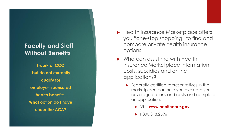#### **Faculty and Staff Without Benefits**

**I work at CCC but do not currently qualify for employer -sponsored health benefits. What option do I have under the ACA?**

- ▶ Health Insurance Marketplace offers you "one -stop shopping" to find and compare private health insurance options.
- Who can assist me with Health Insurance Marketplace information, costs, subsidies and online applications?
	- **Federally-certified representatives in the** marketplace can help you evaluate your coverage options and costs and complete an application.
		- Visit **www.healthcare.gov**
		- $\blacktriangleright$  1.800.318.2596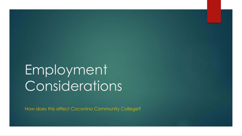# Employment Considerations

How does this affect Coconino Community College?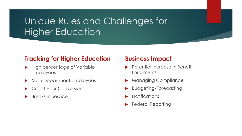# Unique Rules and Challenges for Higher Education

### **Tracking for Higher Education**

- High percentage of Variable employees
- **Multi-Department employees**
- Credit Hour Conversions
- Breaks in Service

#### **Business Impact**

- Potential Increase in Benefit **Enrollments**
- Managing Compliance
- Budgeting/Forecasting
- **Notifications**
- Federal Reporting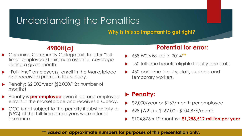## Understanding the Penalties

**Why is this so important to get right?**

## **4980H(a)**

- ▶ Coconino Community College fails to offer "fulltime" employee(s) minimum essential coverage during a given month.
- "Full-time" employee(s) enroll in the Marketplace and receive a premium tax subsidy.
- Penalty: \$2,000/year (\$2,000/12x number of months)
- **Penalty is per employee** even if just one employee enrolls in the marketplace and receives a subsidy.
- ▶ CCC is not subject to the penalty if substantially all (95%) of the full-time employees were offered insurance.

#### **Potential for error:**

- 658 W2's issued in 2014**\*\***
- 150 full-time benefit eligible faculty and staff.
- 450 part-time faculty, staff, students and temporary workers.

### **Penalty:**

- \$2,000/year or \$167/month per employee
- 628 (W2's) x \$167.00= \$104,876/month
- \$104,876 x 12 months= **\$1,258,512 million per year**

#### **\*\* Based on approximate numbers for purposes of this presentation only.**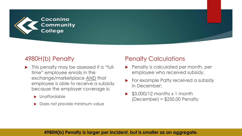

### 4980H(b) Penalty

- **In this penalty may be assessed if a "full**time" employee enrolls in the exchange/marketplace AND that employee is able to receive a subsidy because the employer coverage is:
	- Unaffordable
	- Does not provide minimum value

#### Penalty Calculations

- **Penalty is calculated per month, per** employee who received subsidy.
- For example Patty received a subsidy in December:
- \$3,000/12 months x 1 month  $(December) = $250.00 Penalty$

#### **4980H(b) Penalty is larger per incident, but is smaller as an aggregate.**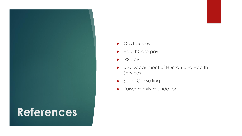

- Govtrack.us
- **HealthCare.gov**
- **IRS.gov**
- U.S. Department of Human and Health Services
- Segal Consulting
- Kaiser Family Foundation